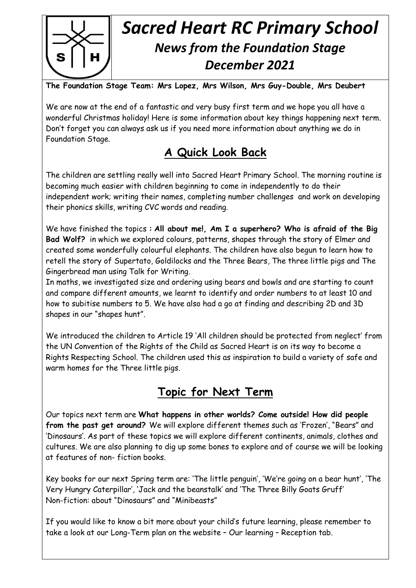

# *Sacred Heart RC Primary School News from the Foundation Stage December 2021*

**The Foundation Stage Team: Mrs Lopez, Mrs Wilson, Mrs Guy-Double, Mrs Deubert**

We are now at the end of a fantastic and very busy first term and we hope you all have a wonderful Christmas holiday! Here is some information about key things happening next term. Don't forget you can always ask us if you need more information about anything we do in Foundation Stage.

# **A Quick Look Back**

The children are settling really well into Sacred Heart Primary School. The morning routine is becoming much easier with children beginning to come in independently to do their independent work; writing their names, completing number challenges and work on developing their phonics skills, writing CVC words and reading.

We have finished the topics **: All about me!, Am I a superhero? Who is afraid of the Big Bad Wolf?** in which we explored colours, patterns, shapes through the story of Elmer and created some wonderfully colourful elephants. The children have also begun to learn how to retell the story of Supertato, Goldilocks and the Three Bears, The three little pigs and The Gingerbread man using Talk for Writing.

In maths, we investigated size and ordering using bears and bowls and are starting to count and compare different amounts, we learnt to identify and order numbers to at least 10 and how to subitise numbers to 5. We have also had a go at finding and describing 2D and 3D shapes in our "shapes hunt".

We introduced the children to Article 19 'All children should be protected from neglect' from the UN Convention of the Rights of the Child as Sacred Heart is on its way to become a Rights Respecting School. The children used this as inspiration to build a variety of safe and warm homes for the Three little pigs.

#### **Topic for Next Term**

Our topics next term are **What happens in other worlds? Come outside! How did people from the past get around?** We will explore different themes such as 'Frozen', "Bears" and 'Dinosaurs'. As part of these topics we will explore different continents, animals, clothes and cultures. We are also planning to dig up some bones to explore and of course we will be looking at features of non- fiction books.

Key books for our next Spring term are: 'The little penguin', 'We're going on a bear hunt', 'The Very Hungry Caterpillar', 'Jack and the beanstalk' and 'The Three Billy Goats Gruff' Non-fiction: about "Dinosaurs" and "Minibeasts"

If you would like to know a bit more about your child's future learning, please remember to take a look at our Long-Term plan on the website – Our learning – Reception tab.